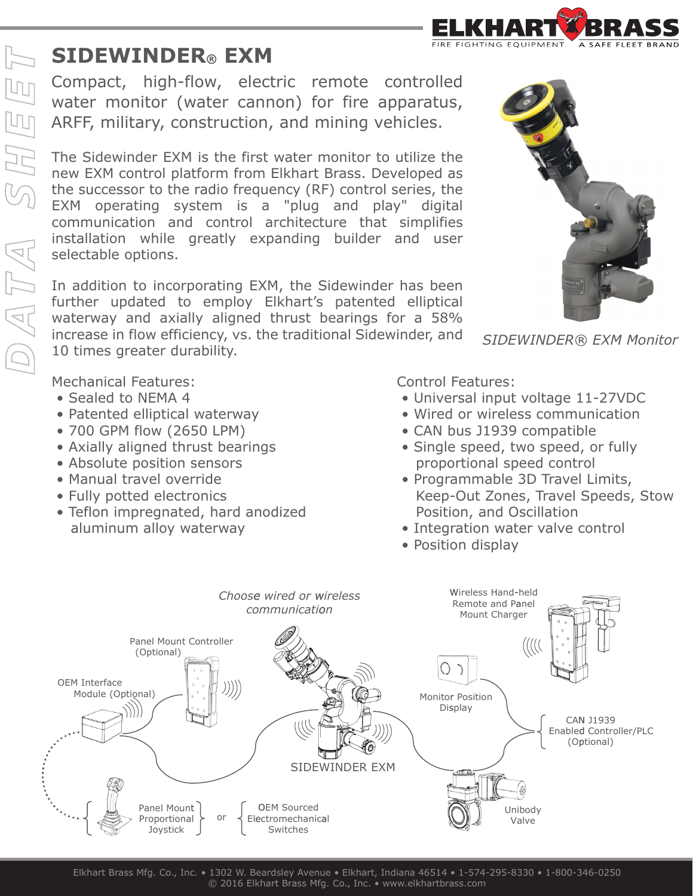

## **SIDEWINDER® EXM**

Compact, high-flow, electric remote controlled water monitor (water cannon) for fire apparatus, ARFF, military, construction, and mining vehicles.

The Sidewinder EXM is the first water monitor to utilize the new EXM control platform from Elkhart Brass. Developed as the successor to the radio frequency (RF) control series, the EXM operating system is a "plug and play" digital communication and control architecture that simplifies installation while greatly expanding builder and user selectable options.

In addition to incorporating EXM, the Sidewinder has been further updated to employ Elkhart's patented elliptical waterway and axially aligned thrust bearings for a 58% increase in flow efficiency, vs. the traditional Sidewinder, and 10 times greater durability.

Mechanical Features:

- Sealed to NEMA 4
- Patented elliptical waterway
- 700 GPM flow (2650 LPM)
- Axially aligned thrust bearings
- Absolute position sensors
- Manual travel override
- Fully potted electronics
- Teflon impregnated, hard anodized aluminum alloy waterway

Control Features:

• Universal input voltage 11-27VDC

*SIDEWINDER® EXM Monitor*

- Wired or wireless communication
- CAN bus J1939 compatible
- Single speed, two speed, or fully proportional speed control
- Programmable 3D Travel Limits, Keep-Out Zones, Travel Speeds, Stow Position, and Oscillation
- Integration water valve control
- Position display